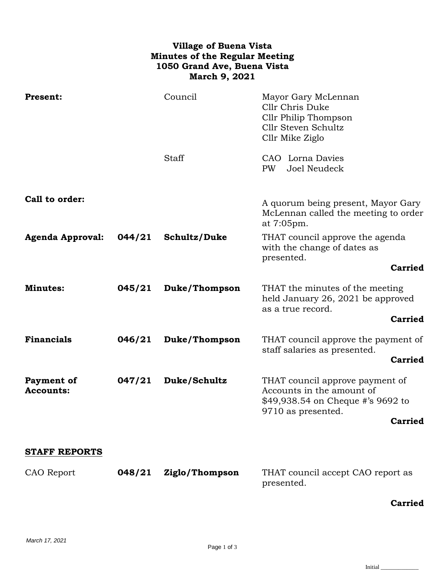## **Village of Buena Vista Minutes of the Regular Meeting 1050 Grand Ave, Buena Vista March 9, 2021**

| <b>Present:</b>                |        | Council       | Mayor Gary McLennan<br>Cllr Chris Duke<br>Cllr Philip Thompson<br>Cllr Steven Schultz<br>Cllr Mike Ziglo                |
|--------------------------------|--------|---------------|-------------------------------------------------------------------------------------------------------------------------|
|                                |        | <b>Staff</b>  | CAO Lorna Davies<br><b>PW</b><br>Joel Neudeck                                                                           |
| Call to order:                 |        |               | A quorum being present, Mayor Gary<br>McLennan called the meeting to order<br>at 7:05pm.                                |
| <b>Agenda Approval:</b>        | 044/21 | Schultz/Duke  | THAT council approve the agenda<br>with the change of dates as<br>presented.                                            |
|                                |        |               | <b>Carried</b>                                                                                                          |
| <b>Minutes:</b>                | 045/21 | Duke/Thompson | THAT the minutes of the meeting<br>held January 26, 2021 be approved<br>as a true record.<br><b>Carried</b>             |
|                                |        |               |                                                                                                                         |
| <b>Financials</b>              | 046/21 | Duke/Thompson | THAT council approve the payment of<br>staff salaries as presented.                                                     |
|                                |        |               | <b>Carried</b>                                                                                                          |
| Payment of<br><b>Accounts:</b> | 047/21 | Duke/Schultz  | THAT council approve payment of<br>Accounts in the amount of<br>\$49,938.54 on Cheque #'s 9692 to<br>9710 as presented. |
|                                |        |               | <b>Carried</b>                                                                                                          |
| <b>STAFF REPORTS</b>           |        |               |                                                                                                                         |

| CAO Report | 048/21 Ziglo/Thompson | THAT council accept CAO report as |
|------------|-----------------------|-----------------------------------|
|            |                       | presented.                        |

## **Carried**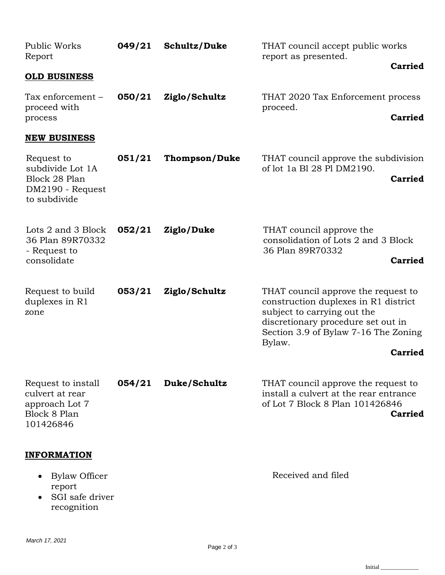| Public Works<br>Report                                                                      | 049/21 | Schultz/Duke         | THAT council accept public works<br>report as presented.<br><b>Carried</b>                                                                                                                                           |
|---------------------------------------------------------------------------------------------|--------|----------------------|----------------------------------------------------------------------------------------------------------------------------------------------------------------------------------------------------------------------|
| <b>OLD BUSINESS</b>                                                                         |        |                      |                                                                                                                                                                                                                      |
| Tax enforcement -<br>proceed with<br>process                                                | 050/21 | Ziglo/Schultz        | THAT 2020 Tax Enforcement process<br>proceed.<br><b>Carried</b>                                                                                                                                                      |
| <b>NEW BUSINESS</b>                                                                         |        |                      |                                                                                                                                                                                                                      |
| Request to<br>subdivide Lot 1A<br>Block 28 Plan<br>DM2190 - Request<br>to subdivide         | 051/21 | <b>Thompson/Duke</b> | THAT council approve the subdivision<br>of lot 1a Bl 28 Pl DM2190.<br><b>Carried</b>                                                                                                                                 |
| Lots 2 and 3 Block<br>36 Plan 89R70332<br>- Request to<br>consolidate                       | 052/21 | Ziglo/Duke           | THAT council approve the<br>consolidation of Lots 2 and 3 Block<br>36 Plan 89R70332<br><b>Carried</b>                                                                                                                |
| Request to build<br>duplexes in R1<br>zone                                                  | 053/21 | Ziglo/Schultz        | THAT council approve the request to<br>construction duplexes in R1 district<br>subject to carrying out the<br>discretionary procedure set out in<br>Section 3.9 of Bylaw 7-16 The Zoning<br>Bylaw.<br><b>Carried</b> |
| Request to install<br>culvert at rear<br>approach Lot 7<br><b>Block 8 Plan</b><br>101426846 | 054/21 | Duke/Schultz         | THAT council approve the request to<br>install a culvert at the rear entrance<br>of Lot 7 Block 8 Plan 101426846<br>Carried                                                                                          |
| <b>INFORMATION</b><br><b>Bylaw Officer</b><br>report<br>SGI safe driver<br>recognition      |        |                      | Received and filed                                                                                                                                                                                                   |